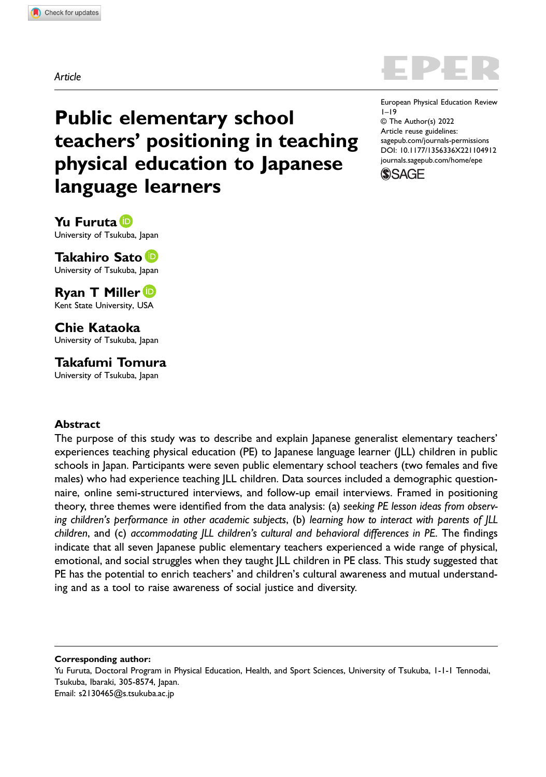Article

European Physical Education Review 1–19 © The Author(s) 2022 Article reuse guidelines: [sagepub.com/journals-permissions](https://us.sagepub.com/en-us/journals-permissions) DOI: 10.1177/1356336X221104912 [journals.sagepub.com/home/epe](https://journals.sagepub.com/home/epe)



# Public elementary school teachers' positioning in teaching physical education to Japanese language learners

Yu Furuta D University of Tsukuba, lapan

Takahiro Sato University of Tsukuba, Japan

Ryan T Miller<sup>iD</sup> Kent State University, USA

Chie Kataoka University of Tsukuba, Japan

Takafumi Tomura

University of Tsukuba, Japan

### **Abstract**

The purpose of this study was to describe and explain Japanese generalist elementary teachers' experiences teaching physical education (PE) to Japanese language learner (JLL) children in public schools in Japan. Participants were seven public elementary school teachers (two females and five males) who had experience teaching *JLL* children. Data sources included a demographic questionnaire, online semi-structured interviews, and follow-up email interviews. Framed in positioning theory, three themes were identified from the data analysis: (a) seeking PE lesson ideas from observing children's performance in other academic subjects, (b) learning how to interact with parents of JLL children, and (c) accommodating JLL children's cultural and behavioral differences in PE. The findings indicate that all seven Japanese public elementary teachers experienced a wide range of physical, emotional, and social struggles when they taught JLL children in PE class. This study suggested that PE has the potential to enrich teachers' and children's cultural awareness and mutual understanding and as a tool to raise awareness of social justice and diversity.

Corresponding author:

Yu Furuta, Doctoral Program in Physical Education, Health, and Sport Sciences, University of Tsukuba, 1-1-1 Tennodai, Tsukuba, Ibaraki, 305-8574, Japan. Email: [s2130465@s.tsukuba.ac.jp](mailto:s2130465@s.tsukuba.ac.jp)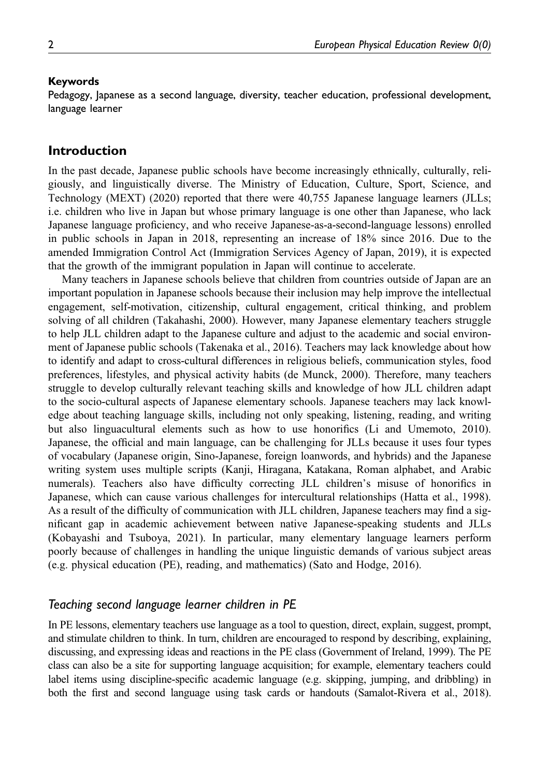#### Keywords

Pedagogy, Japanese as a second language, diversity, teacher education, professional development, language learner

# Introduction

In the past decade, Japanese public schools have become increasingly ethnically, culturally, religiously, and linguistically diverse. The Ministry of Education, Culture, Sport, Science, and Technology (MEXT) (2020) reported that there were 40,755 Japanese language learners (JLLs; i.e. children who live in Japan but whose primary language is one other than Japanese, who lack Japanese language proficiency, and who receive Japanese-as-a-second-language lessons) enrolled in public schools in Japan in 2018, representing an increase of 18% since 2016. Due to the amended Immigration Control Act (Immigration Services Agency of Japan, 2019), it is expected that the growth of the immigrant population in Japan will continue to accelerate.

Many teachers in Japanese schools believe that children from countries outside of Japan are an important population in Japanese schools because their inclusion may help improve the intellectual engagement, self-motivation, citizenship, cultural engagement, critical thinking, and problem solving of all children (Takahashi, 2000). However, many Japanese elementary teachers struggle to help JLL children adapt to the Japanese culture and adjust to the academic and social environment of Japanese public schools (Takenaka et al., 2016). Teachers may lack knowledge about how to identify and adapt to cross-cultural differences in religious beliefs, communication styles, food preferences, lifestyles, and physical activity habits (de Munck, 2000). Therefore, many teachers struggle to develop culturally relevant teaching skills and knowledge of how JLL children adapt to the socio-cultural aspects of Japanese elementary schools. Japanese teachers may lack knowledge about teaching language skills, including not only speaking, listening, reading, and writing but also linguacultural elements such as how to use honorifics (Li and Umemoto, 2010). Japanese, the official and main language, can be challenging for JLLs because it uses four types of vocabulary (Japanese origin, Sino-Japanese, foreign loanwords, and hybrids) and the Japanese writing system uses multiple scripts (Kanji, Hiragana, Katakana, Roman alphabet, and Arabic numerals). Teachers also have difficulty correcting JLL children's misuse of honorifics in Japanese, which can cause various challenges for intercultural relationships (Hatta et al., 1998). As a result of the difficulty of communication with JLL children, Japanese teachers may find a significant gap in academic achievement between native Japanese-speaking students and JLLs (Kobayashi and Tsuboya, 2021). In particular, many elementary language learners perform poorly because of challenges in handling the unique linguistic demands of various subject areas (e.g. physical education (PE), reading, and mathematics) (Sato and Hodge, 2016).

# Teaching second language learner children in PE

In PE lessons, elementary teachers use language as a tool to question, direct, explain, suggest, prompt, and stimulate children to think. In turn, children are encouraged to respond by describing, explaining, discussing, and expressing ideas and reactions in the PE class (Government of Ireland, 1999). The PE class can also be a site for supporting language acquisition; for example, elementary teachers could label items using discipline-specific academic language (e.g. skipping, jumping, and dribbling) in both the first and second language using task cards or handouts (Samalot-Rivera et al., 2018).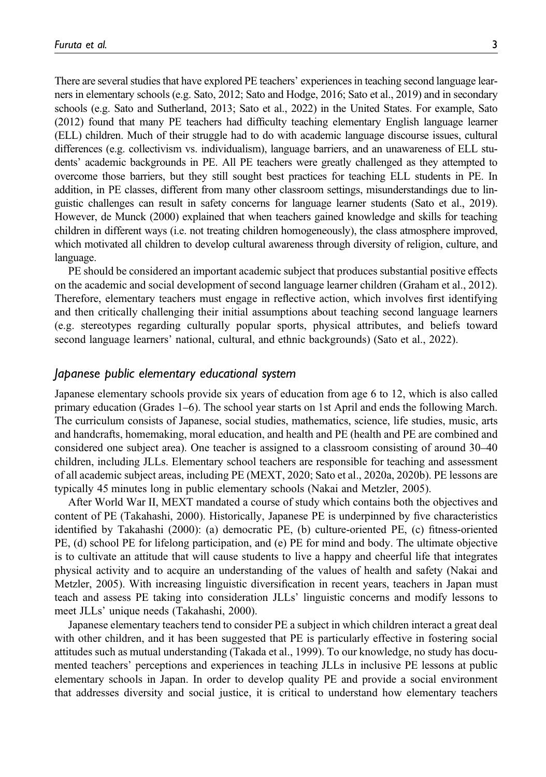There are several studies that have explored PE teachers' experiences in teaching second language learners in elementary schools (e.g. Sato, 2012; Sato and Hodge, 2016; Sato et al., 2019) and in secondary schools (e.g. Sato and Sutherland, 2013; Sato et al., 2022) in the United States. For example, Sato (2012) found that many PE teachers had difficulty teaching elementary English language learner (ELL) children. Much of their struggle had to do with academic language discourse issues, cultural differences (e.g. collectivism vs. individualism), language barriers, and an unawareness of ELL students' academic backgrounds in PE. All PE teachers were greatly challenged as they attempted to overcome those barriers, but they still sought best practices for teaching ELL students in PE. In addition, in PE classes, different from many other classroom settings, misunderstandings due to linguistic challenges can result in safety concerns for language learner students (Sato et al., 2019). However, de Munck (2000) explained that when teachers gained knowledge and skills for teaching children in different ways (i.e. not treating children homogeneously), the class atmosphere improved, which motivated all children to develop cultural awareness through diversity of religion, culture, and language.

PE should be considered an important academic subject that produces substantial positive effects on the academic and social development of second language learner children (Graham et al., 2012). Therefore, elementary teachers must engage in reflective action, which involves first identifying and then critically challenging their initial assumptions about teaching second language learners (e.g. stereotypes regarding culturally popular sports, physical attributes, and beliefs toward second language learners' national, cultural, and ethnic backgrounds) (Sato et al., 2022).

### Japanese public elementary educational system

Japanese elementary schools provide six years of education from age 6 to 12, which is also called primary education (Grades 1–6). The school year starts on 1st April and ends the following March. The curriculum consists of Japanese, social studies, mathematics, science, life studies, music, arts and handcrafts, homemaking, moral education, and health and PE (health and PE are combined and considered one subject area). One teacher is assigned to a classroom consisting of around 30–40 children, including JLLs. Elementary school teachers are responsible for teaching and assessment of all academic subject areas, including PE (MEXT, 2020; Sato et al., 2020a, 2020b). PE lessons are typically 45 minutes long in public elementary schools (Nakai and Metzler, 2005).

After World War II, MEXT mandated a course of study which contains both the objectives and content of PE (Takahashi, 2000). Historically, Japanese PE is underpinned by five characteristics identified by Takahashi (2000): (a) democratic PE, (b) culture-oriented PE, (c) fitness-oriented PE, (d) school PE for lifelong participation, and (e) PE for mind and body. The ultimate objective is to cultivate an attitude that will cause students to live a happy and cheerful life that integrates physical activity and to acquire an understanding of the values of health and safety (Nakai and Metzler, 2005). With increasing linguistic diversification in recent years, teachers in Japan must teach and assess PE taking into consideration JLLs' linguistic concerns and modify lessons to meet JLLs' unique needs (Takahashi, 2000).

Japanese elementary teachers tend to consider PE a subject in which children interact a great deal with other children, and it has been suggested that PE is particularly effective in fostering social attitudes such as mutual understanding (Takada et al., 1999). To our knowledge, no study has documented teachers' perceptions and experiences in teaching JLLs in inclusive PE lessons at public elementary schools in Japan. In order to develop quality PE and provide a social environment that addresses diversity and social justice, it is critical to understand how elementary teachers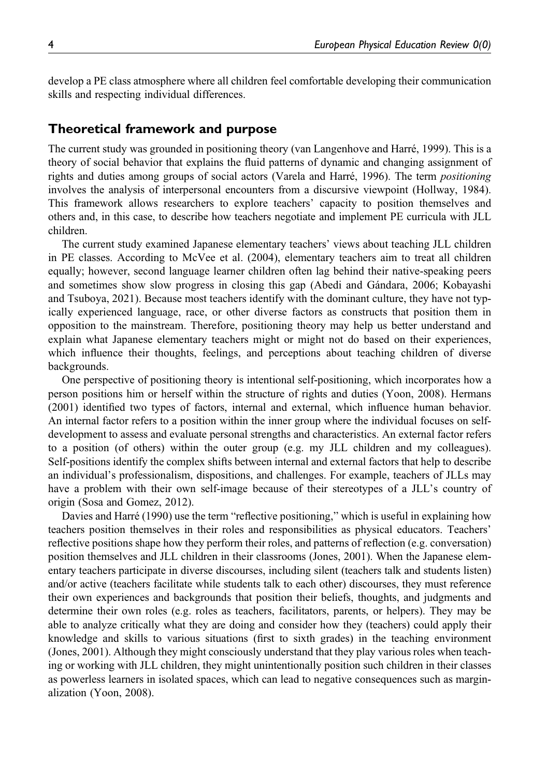develop a PE class atmosphere where all children feel comfortable developing their communication skills and respecting individual differences.

### Theoretical framework and purpose

The current study was grounded in positioning theory (van Langenhove and Harré, 1999). This is a theory of social behavior that explains the fluid patterns of dynamic and changing assignment of rights and duties among groups of social actors (Varela and Harré, 1996). The term positioning involves the analysis of interpersonal encounters from a discursive viewpoint (Hollway, 1984). This framework allows researchers to explore teachers' capacity to position themselves and others and, in this case, to describe how teachers negotiate and implement PE curricula with JLL children.

The current study examined Japanese elementary teachers' views about teaching JLL children in PE classes. According to McVee et al. (2004), elementary teachers aim to treat all children equally; however, second language learner children often lag behind their native-speaking peers and sometimes show slow progress in closing this gap (Abedi and Gándara, 2006; Kobayashi and Tsuboya, 2021). Because most teachers identify with the dominant culture, they have not typically experienced language, race, or other diverse factors as constructs that position them in opposition to the mainstream. Therefore, positioning theory may help us better understand and explain what Japanese elementary teachers might or might not do based on their experiences, which influence their thoughts, feelings, and perceptions about teaching children of diverse backgrounds.

One perspective of positioning theory is intentional self-positioning, which incorporates how a person positions him or herself within the structure of rights and duties (Yoon, 2008). Hermans (2001) identified two types of factors, internal and external, which influence human behavior. An internal factor refers to a position within the inner group where the individual focuses on selfdevelopment to assess and evaluate personal strengths and characteristics. An external factor refers to a position (of others) within the outer group (e.g. my JLL children and my colleagues). Self-positions identify the complex shifts between internal and external factors that help to describe an individual's professionalism, dispositions, and challenges. For example, teachers of JLLs may have a problem with their own self-image because of their stereotypes of a JLL's country of origin (Sosa and Gomez, 2012).

Davies and Harré (1990) use the term "reflective positioning," which is useful in explaining how teachers position themselves in their roles and responsibilities as physical educators. Teachers' reflective positions shape how they perform their roles, and patterns of reflection (e.g. conversation) position themselves and JLL children in their classrooms (Jones, 2001). When the Japanese elementary teachers participate in diverse discourses, including silent (teachers talk and students listen) and/or active (teachers facilitate while students talk to each other) discourses, they must reference their own experiences and backgrounds that position their beliefs, thoughts, and judgments and determine their own roles (e.g. roles as teachers, facilitators, parents, or helpers). They may be able to analyze critically what they are doing and consider how they (teachers) could apply their knowledge and skills to various situations (first to sixth grades) in the teaching environment (Jones, 2001). Although they might consciously understand that they play various roles when teaching or working with JLL children, they might unintentionally position such children in their classes as powerless learners in isolated spaces, which can lead to negative consequences such as marginalization (Yoon, 2008).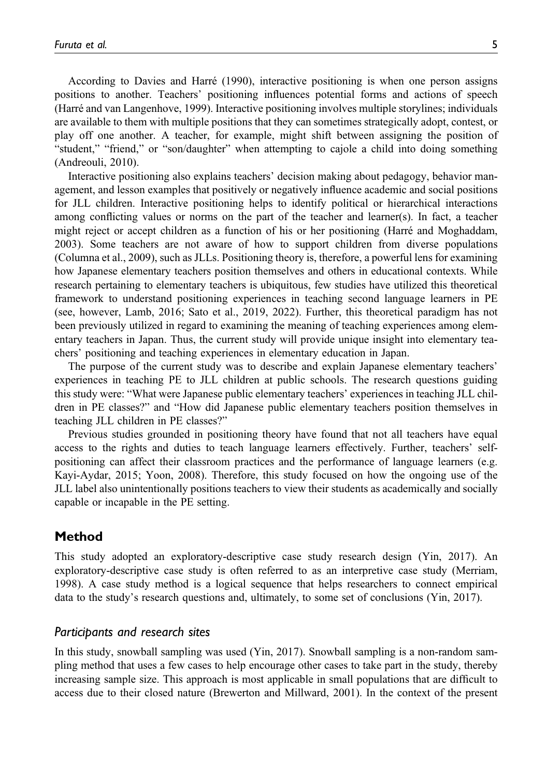According to Davies and Harré (1990), interactive positioning is when one person assigns positions to another. Teachers' positioning influences potential forms and actions of speech (Harré and van Langenhove, 1999). Interactive positioning involves multiple storylines; individuals are available to them with multiple positions that they can sometimes strategically adopt, contest, or play off one another. A teacher, for example, might shift between assigning the position of "student," "friend," or "son/daughter" when attempting to cajole a child into doing something (Andreouli, 2010).

Interactive positioning also explains teachers' decision making about pedagogy, behavior management, and lesson examples that positively or negatively influence academic and social positions for JLL children. Interactive positioning helps to identify political or hierarchical interactions among conflicting values or norms on the part of the teacher and learner(s). In fact, a teacher might reject or accept children as a function of his or her positioning (Harré and Moghaddam, 2003). Some teachers are not aware of how to support children from diverse populations (Columna et al., 2009), such as JLLs. Positioning theory is, therefore, a powerful lens for examining how Japanese elementary teachers position themselves and others in educational contexts. While research pertaining to elementary teachers is ubiquitous, few studies have utilized this theoretical framework to understand positioning experiences in teaching second language learners in PE (see, however, Lamb, 2016; Sato et al., 2019, 2022). Further, this theoretical paradigm has not been previously utilized in regard to examining the meaning of teaching experiences among elementary teachers in Japan. Thus, the current study will provide unique insight into elementary teachers' positioning and teaching experiences in elementary education in Japan.

The purpose of the current study was to describe and explain Japanese elementary teachers' experiences in teaching PE to JLL children at public schools. The research questions guiding this study were: "What were Japanese public elementary teachers' experiences in teaching JLL children in PE classes?" and "How did Japanese public elementary teachers position themselves in teaching JLL children in PE classes?"

Previous studies grounded in positioning theory have found that not all teachers have equal access to the rights and duties to teach language learners effectively. Further, teachers' selfpositioning can affect their classroom practices and the performance of language learners (e.g. Kayi-Aydar, 2015; Yoon, 2008). Therefore, this study focused on how the ongoing use of the JLL label also unintentionally positions teachers to view their students as academically and socially capable or incapable in the PE setting.

# Method

This study adopted an exploratory-descriptive case study research design (Yin, 2017). An exploratory-descriptive case study is often referred to as an interpretive case study (Merriam, 1998). A case study method is a logical sequence that helps researchers to connect empirical data to the study's research questions and, ultimately, to some set of conclusions (Yin, 2017).

### Participants and research sites

In this study, snowball sampling was used (Yin, 2017). Snowball sampling is a non-random sampling method that uses a few cases to help encourage other cases to take part in the study, thereby increasing sample size. This approach is most applicable in small populations that are difficult to access due to their closed nature (Brewerton and Millward, 2001). In the context of the present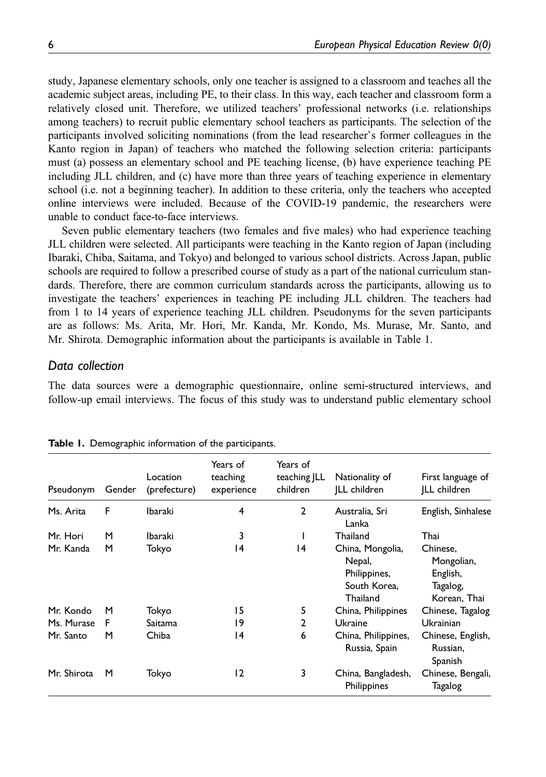study, Japanese elementary schools, only one teacher is assigned to a classroom and teaches all the academic subject areas, including PE, to their class. In this way, each teacher and classroom form a relatively closed unit. Therefore, we utilized teachers' professional networks (i.e. relationships among teachers) to recruit public elementary school teachers as participants. The selection of the participants involved soliciting nominations (from the lead researcher's former colleagues in the Kanto region in Japan) of teachers who matched the following selection criteria: participants must (a) possess an elementary school and PE teaching license, (b) have experience teaching PE including JLL children, and (c) have more than three years of teaching experience in elementary school (i.e. not a beginning teacher). In addition to these criteria, only the teachers who accepted online interviews were included. Because of the COVID-19 pandemic, the researchers were unable to conduct face-to-face interviews.

Seven public elementary teachers (two females and five males) who had experience teaching JLL children were selected. All participants were teaching in the Kanto region of Japan (including Ibaraki, Chiba, Saitama, and Tokyo) and belonged to various school districts. Across Japan, public schools are required to follow a prescribed course of study as a part of the national curriculum standards. Therefore, there are common curriculum standards across the participants, allowing us to investigate the teachers' experiences in teaching PE including JLL children. The teachers had from 1 to 14 years of experience teaching JLL children. Pseudonyms for the seven participants are as follows: Ms. Arita, Mr. Hori, Mr. Kanda, Mr. Kondo, Ms. Murase, Mr. Santo, and Mr. Shirota. Demographic information about the participants is available in Table 1.

### Data collection

The data sources were a demographic questionnaire, online semi-structured interviews, and follow-up email interviews. The focus of this study was to understand public elementary school

| Pseudonym   | Gender | Location<br>(prefecture) | Years of<br>teaching<br>experience | Years of<br>teaching JLL<br>children | Nationality of<br>ILL children                                         | First language of<br>ILL children                              |
|-------------|--------|--------------------------|------------------------------------|--------------------------------------|------------------------------------------------------------------------|----------------------------------------------------------------|
| Ms. Arita   | F      | Ibaraki                  | 4                                  | $\overline{2}$                       | Australia, Sri<br>Lanka                                                | English, Sinhalese                                             |
| Mr. Hori    | м      | Ibaraki                  | 3                                  |                                      | Thailand                                                               | Thai                                                           |
| Mr. Kanda   | M      | Tokyo                    | 14                                 | 14                                   | China, Mongolia,<br>Nepal,<br>Philippines,<br>South Korea.<br>Thailand | Chinese,<br>Mongolian,<br>English,<br>Tagalog,<br>Korean, Thai |
| Mr. Kondo   | м      | Tokyo                    | 15                                 | 5                                    | China, Philippines                                                     | Chinese, Tagalog                                               |
| Ms. Murase  | F      | Saitama                  | 19                                 | $\mathbf{2}$                         | Ukraine                                                                | Ukrainian                                                      |
| Mr. Santo   | м      | Chiba                    | 14                                 | 6                                    | China, Philippines,<br>Russia, Spain                                   | Chinese, English,<br>Russian,<br>Spanish                       |
| Mr. Shirota | м      | Tokyo                    | $\overline{2}$                     | 3                                    | China, Bangladesh,<br>Philippines                                      | Chinese, Bengali,<br>Tagalog                                   |

Table 1. Demographic information of the participants.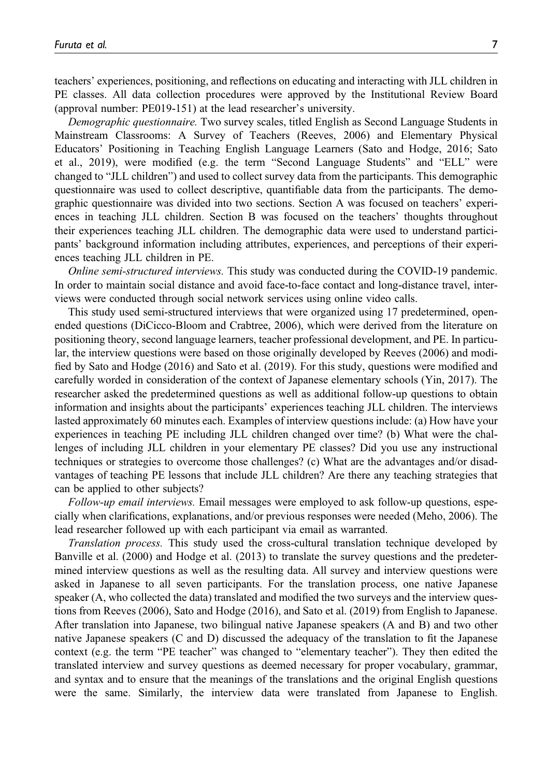teachers' experiences, positioning, and reflections on educating and interacting with JLL children in PE classes. All data collection procedures were approved by the Institutional Review Board (approval number: PE019-151) at the lead researcher's university.

Demographic questionnaire. Two survey scales, titled English as Second Language Students in Mainstream Classrooms: A Survey of Teachers (Reeves, 2006) and Elementary Physical Educators' Positioning in Teaching English Language Learners (Sato and Hodge, 2016; Sato et al., 2019), were modified (e.g. the term "Second Language Students" and "ELL" were changed to "JLL children") and used to collect survey data from the participants. This demographic questionnaire was used to collect descriptive, quantifiable data from the participants. The demographic questionnaire was divided into two sections. Section A was focused on teachers' experiences in teaching JLL children. Section B was focused on the teachers' thoughts throughout their experiences teaching JLL children. The demographic data were used to understand participants' background information including attributes, experiences, and perceptions of their experiences teaching JLL children in PE.

Online semi-structured interviews. This study was conducted during the COVID-19 pandemic. In order to maintain social distance and avoid face-to-face contact and long-distance travel, interviews were conducted through social network services using online video calls.

This study used semi-structured interviews that were organized using 17 predetermined, openended questions (DiCicco-Bloom and Crabtree, 2006), which were derived from the literature on positioning theory, second language learners, teacher professional development, and PE. In particular, the interview questions were based on those originally developed by Reeves (2006) and modified by Sato and Hodge (2016) and Sato et al. (2019). For this study, questions were modified and carefully worded in consideration of the context of Japanese elementary schools (Yin, 2017). The researcher asked the predetermined questions as well as additional follow-up questions to obtain information and insights about the participants' experiences teaching JLL children. The interviews lasted approximately 60 minutes each. Examples of interview questions include: (a) How have your experiences in teaching PE including JLL children changed over time? (b) What were the challenges of including JLL children in your elementary PE classes? Did you use any instructional techniques or strategies to overcome those challenges? (c) What are the advantages and/or disadvantages of teaching PE lessons that include JLL children? Are there any teaching strategies that can be applied to other subjects?

Follow-up email interviews. Email messages were employed to ask follow-up questions, especially when clarifications, explanations, and/or previous responses were needed (Meho, 2006). The lead researcher followed up with each participant via email as warranted.

Translation process. This study used the cross-cultural translation technique developed by Banville et al. (2000) and Hodge et al. (2013) to translate the survey questions and the predetermined interview questions as well as the resulting data. All survey and interview questions were asked in Japanese to all seven participants. For the translation process, one native Japanese speaker (A, who collected the data) translated and modified the two surveys and the interview questions from Reeves (2006), Sato and Hodge (2016), and Sato et al. (2019) from English to Japanese. After translation into Japanese, two bilingual native Japanese speakers (A and B) and two other native Japanese speakers (C and D) discussed the adequacy of the translation to fit the Japanese context (e.g. the term "PE teacher" was changed to "elementary teacher"). They then edited the translated interview and survey questions as deemed necessary for proper vocabulary, grammar, and syntax and to ensure that the meanings of the translations and the original English questions were the same. Similarly, the interview data were translated from Japanese to English.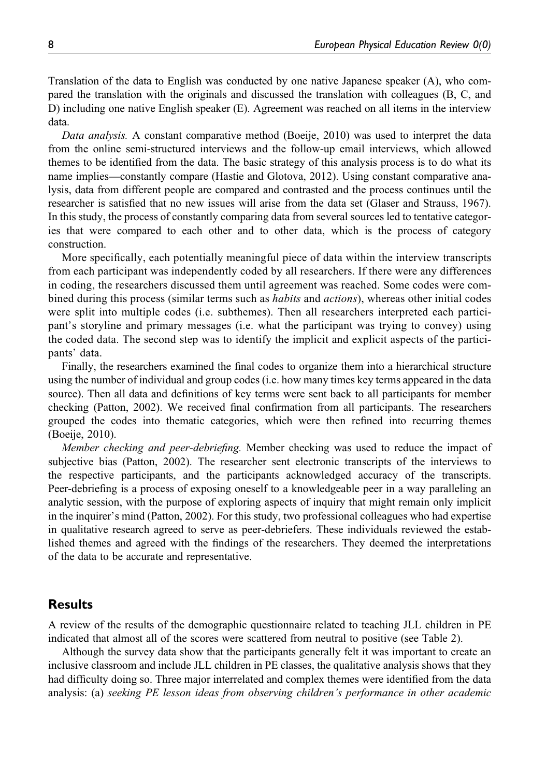Translation of the data to English was conducted by one native Japanese speaker (A), who compared the translation with the originals and discussed the translation with colleagues (B, C, and D) including one native English speaker (E). Agreement was reached on all items in the interview data.

Data analysis. A constant comparative method (Boeije, 2010) was used to interpret the data from the online semi-structured interviews and the follow-up email interviews, which allowed themes to be identified from the data. The basic strategy of this analysis process is to do what its name implies—constantly compare (Hastie and Glotova, 2012). Using constant comparative analysis, data from different people are compared and contrasted and the process continues until the researcher is satisfied that no new issues will arise from the data set (Glaser and Strauss, 1967). In this study, the process of constantly comparing data from several sources led to tentative categories that were compared to each other and to other data, which is the process of category construction.

More specifically, each potentially meaningful piece of data within the interview transcripts from each participant was independently coded by all researchers. If there were any differences in coding, the researchers discussed them until agreement was reached. Some codes were combined during this process (similar terms such as *habits* and *actions*), whereas other initial codes were split into multiple codes (i.e. subthemes). Then all researchers interpreted each participant's storyline and primary messages (i.e. what the participant was trying to convey) using the coded data. The second step was to identify the implicit and explicit aspects of the participants' data.

Finally, the researchers examined the final codes to organize them into a hierarchical structure using the number of individual and group codes (i.e. how many times key terms appeared in the data source). Then all data and definitions of key terms were sent back to all participants for member checking (Patton, 2002). We received final confirmation from all participants. The researchers grouped the codes into thematic categories, which were then refined into recurring themes (Boeije, 2010).

Member checking and peer-debriefing. Member checking was used to reduce the impact of subjective bias (Patton, 2002). The researcher sent electronic transcripts of the interviews to the respective participants, and the participants acknowledged accuracy of the transcripts. Peer-debriefing is a process of exposing oneself to a knowledgeable peer in a way paralleling an analytic session, with the purpose of exploring aspects of inquiry that might remain only implicit in the inquirer's mind (Patton, 2002). For this study, two professional colleagues who had expertise in qualitative research agreed to serve as peer-debriefers. These individuals reviewed the established themes and agreed with the findings of the researchers. They deemed the interpretations of the data to be accurate and representative.

# **Results**

A review of the results of the demographic questionnaire related to teaching JLL children in PE indicated that almost all of the scores were scattered from neutral to positive (see Table 2).

Although the survey data show that the participants generally felt it was important to create an inclusive classroom and include JLL children in PE classes, the qualitative analysis shows that they had difficulty doing so. Three major interrelated and complex themes were identified from the data analysis: (a) seeking PE lesson ideas from observing children's performance in other academic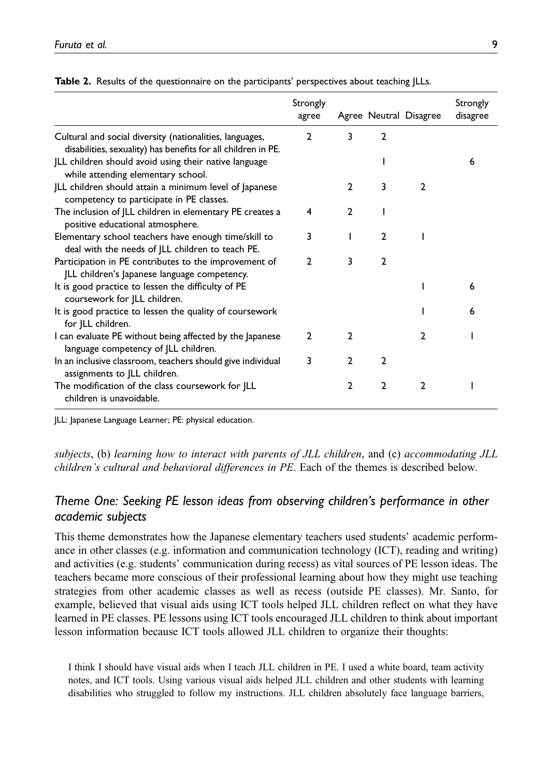|                                                                                                                                                              | Strongly<br>agree |                |                | Agree Neutral Disagree | Strongly<br>disagree |
|--------------------------------------------------------------------------------------------------------------------------------------------------------------|-------------------|----------------|----------------|------------------------|----------------------|
| Cultural and social diversity (nationalities, languages,                                                                                                     | $\overline{2}$    | 3              | $\mathbf{2}$   |                        |                      |
| disabilities, sexuality) has benefits for all children in PE.<br>JLL children should avoid using their native language<br>while attending elementary school. |                   |                |                |                        | 6                    |
| JLL children should attain a minimum level of Japanese<br>competency to participate in PE classes.                                                           |                   | 2              | 3              | 2                      |                      |
| The inclusion of JLL children in elementary PE creates a<br>positive educational atmosphere.                                                                 | 4                 | $\overline{2}$ |                |                        |                      |
| Elementary school teachers have enough time/skill to<br>deal with the needs of JLL children to teach PE.                                                     | 3                 |                | $\overline{2}$ |                        |                      |
| Participation in PE contributes to the improvement of<br>JLL children's Japanese language competency.                                                        | $\overline{2}$    | 3              | $\mathbf{2}$   |                        |                      |
| It is good practice to lessen the difficulty of PE<br>coursework for JLL children.                                                                           |                   |                |                |                        | 6                    |
| It is good practice to lessen the quality of coursework<br>for JLL children.                                                                                 |                   |                |                |                        | 6                    |
| I can evaluate PE without being affected by the Japanese<br>language competency of JLL children.                                                             | $\mathbf{2}$      | $\mathbf{2}$   |                | $\mathfrak{p}$         |                      |
| In an inclusive classroom, teachers should give individual<br>assignments to JLL children.                                                                   | 3                 | $\mathbf{2}$   | 2              |                        |                      |
| The modification of the class coursework for JLL<br>children is unavoidable.                                                                                 |                   | $\overline{2}$ | $\overline{2}$ | $\mathbf{2}$           |                      |

Table 2. Results of the questionnaire on the participants' perspectives about teaching JLLs.

JLL: Japanese Language Learner; PE: physical education.

subjects, (b) learning how to interact with parents of JLL children, and (c) accommodating JLL children's cultural and behavioral differences in PE. Each of the themes is described below.

# Theme One: Seeking PE lesson ideas from observing children's performance in other academic subjects

This theme demonstrates how the Japanese elementary teachers used students' academic performance in other classes (e.g. information and communication technology (ICT), reading and writing) and activities (e.g. students' communication during recess) as vital sources of PE lesson ideas. The teachers became more conscious of their professional learning about how they might use teaching strategies from other academic classes as well as recess (outside PE classes). Mr. Santo, for example, believed that visual aids using ICT tools helped JLL children reflect on what they have learned in PE classes. PE lessons using ICT tools encouraged JLL children to think about important lesson information because ICT tools allowed JLL children to organize their thoughts:

I think I should have visual aids when I teach JLL children in PE. I used a white board, team activity notes, and ICT tools. Using various visual aids helped JLL children and other students with learning disabilities who struggled to follow my instructions. JLL children absolutely face language barriers,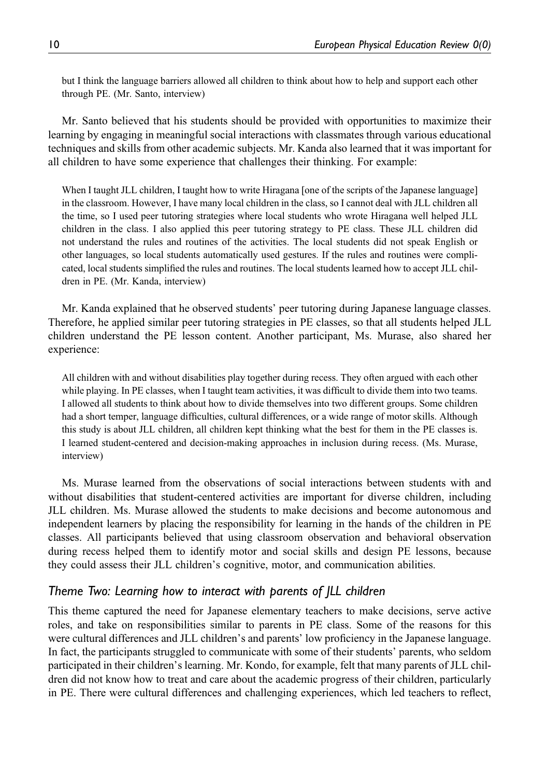but I think the language barriers allowed all children to think about how to help and support each other through PE. (Mr. Santo, interview)

Mr. Santo believed that his students should be provided with opportunities to maximize their learning by engaging in meaningful social interactions with classmates through various educational techniques and skills from other academic subjects. Mr. Kanda also learned that it was important for all children to have some experience that challenges their thinking. For example:

When I taught JLL children, I taught how to write Hiragana [one of the scripts of the Japanese language] in the classroom. However, I have many local children in the class, so I cannot deal with JLL children all the time, so I used peer tutoring strategies where local students who wrote Hiragana well helped JLL children in the class. I also applied this peer tutoring strategy to PE class. These JLL children did not understand the rules and routines of the activities. The local students did not speak English or other languages, so local students automatically used gestures. If the rules and routines were complicated, local students simplified the rules and routines. The local students learned how to accept JLL children in PE. (Mr. Kanda, interview)

Mr. Kanda explained that he observed students' peer tutoring during Japanese language classes. Therefore, he applied similar peer tutoring strategies in PE classes, so that all students helped JLL children understand the PE lesson content. Another participant, Ms. Murase, also shared her experience:

All children with and without disabilities play together during recess. They often argued with each other while playing. In PE classes, when I taught team activities, it was difficult to divide them into two teams. I allowed all students to think about how to divide themselves into two different groups. Some children had a short temper, language difficulties, cultural differences, or a wide range of motor skills. Although this study is about JLL children, all children kept thinking what the best for them in the PE classes is. I learned student-centered and decision-making approaches in inclusion during recess. (Ms. Murase, interview)

Ms. Murase learned from the observations of social interactions between students with and without disabilities that student-centered activities are important for diverse children, including JLL children. Ms. Murase allowed the students to make decisions and become autonomous and independent learners by placing the responsibility for learning in the hands of the children in PE classes. All participants believed that using classroom observation and behavioral observation during recess helped them to identify motor and social skills and design PE lessons, because they could assess their JLL children's cognitive, motor, and communication abilities.

## Theme Two: Learning how to interact with parents of JLL children

This theme captured the need for Japanese elementary teachers to make decisions, serve active roles, and take on responsibilities similar to parents in PE class. Some of the reasons for this were cultural differences and JLL children's and parents' low proficiency in the Japanese language. In fact, the participants struggled to communicate with some of their students' parents, who seldom participated in their children's learning. Mr. Kondo, for example, felt that many parents of JLL children did not know how to treat and care about the academic progress of their children, particularly in PE. There were cultural differences and challenging experiences, which led teachers to reflect,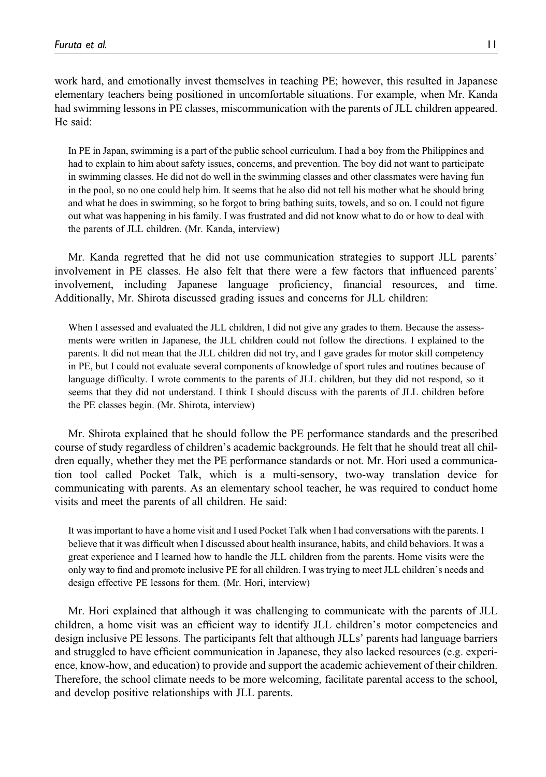work hard, and emotionally invest themselves in teaching PE; however, this resulted in Japanese elementary teachers being positioned in uncomfortable situations. For example, when Mr. Kanda had swimming lessons in PE classes, miscommunication with the parents of JLL children appeared. He said:

In PE in Japan, swimming is a part of the public school curriculum. I had a boy from the Philippines and had to explain to him about safety issues, concerns, and prevention. The boy did not want to participate in swimming classes. He did not do well in the swimming classes and other classmates were having fun in the pool, so no one could help him. It seems that he also did not tell his mother what he should bring and what he does in swimming, so he forgot to bring bathing suits, towels, and so on. I could not figure out what was happening in his family. I was frustrated and did not know what to do or how to deal with the parents of JLL children. (Mr. Kanda, interview)

Mr. Kanda regretted that he did not use communication strategies to support JLL parents' involvement in PE classes. He also felt that there were a few factors that influenced parents' involvement, including Japanese language proficiency, financial resources, and time. Additionally, Mr. Shirota discussed grading issues and concerns for JLL children:

When I assessed and evaluated the JLL children, I did not give any grades to them. Because the assessments were written in Japanese, the JLL children could not follow the directions. I explained to the parents. It did not mean that the JLL children did not try, and I gave grades for motor skill competency in PE, but I could not evaluate several components of knowledge of sport rules and routines because of language difficulty. I wrote comments to the parents of JLL children, but they did not respond, so it seems that they did not understand. I think I should discuss with the parents of JLL children before the PE classes begin. (Mr. Shirota, interview)

Mr. Shirota explained that he should follow the PE performance standards and the prescribed course of study regardless of children's academic backgrounds. He felt that he should treat all children equally, whether they met the PE performance standards or not. Mr. Hori used a communication tool called Pocket Talk, which is a multi-sensory, two-way translation device for communicating with parents. As an elementary school teacher, he was required to conduct home visits and meet the parents of all children. He said:

It was important to have a home visit and I used Pocket Talk when I had conversations with the parents. I believe that it was difficult when I discussed about health insurance, habits, and child behaviors. It was a great experience and I learned how to handle the JLL children from the parents. Home visits were the only way to find and promote inclusive PE for all children. I was trying to meet JLL children's needs and design effective PE lessons for them. (Mr. Hori, interview)

Mr. Hori explained that although it was challenging to communicate with the parents of JLL children, a home visit was an efficient way to identify JLL children's motor competencies and design inclusive PE lessons. The participants felt that although JLLs' parents had language barriers and struggled to have efficient communication in Japanese, they also lacked resources (e.g. experience, know-how, and education) to provide and support the academic achievement of their children. Therefore, the school climate needs to be more welcoming, facilitate parental access to the school, and develop positive relationships with JLL parents.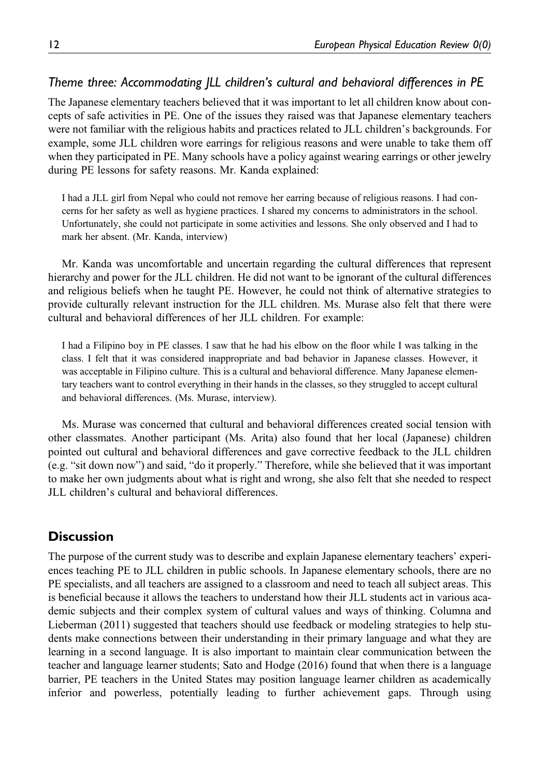# Theme three: Accommodating JLL children's cultural and behavioral differences in PE

The Japanese elementary teachers believed that it was important to let all children know about concepts of safe activities in PE. One of the issues they raised was that Japanese elementary teachers were not familiar with the religious habits and practices related to JLL children's backgrounds. For example, some JLL children wore earrings for religious reasons and were unable to take them off when they participated in PE. Many schools have a policy against wearing earrings or other jewelry during PE lessons for safety reasons. Mr. Kanda explained:

I had a JLL girl from Nepal who could not remove her earring because of religious reasons. I had concerns for her safety as well as hygiene practices. I shared my concerns to administrators in the school. Unfortunately, she could not participate in some activities and lessons. She only observed and I had to mark her absent. (Mr. Kanda, interview)

Mr. Kanda was uncomfortable and uncertain regarding the cultural differences that represent hierarchy and power for the JLL children. He did not want to be ignorant of the cultural differences and religious beliefs when he taught PE. However, he could not think of alternative strategies to provide culturally relevant instruction for the JLL children. Ms. Murase also felt that there were cultural and behavioral differences of her JLL children. For example:

I had a Filipino boy in PE classes. I saw that he had his elbow on the floor while I was talking in the class. I felt that it was considered inappropriate and bad behavior in Japanese classes. However, it was acceptable in Filipino culture. This is a cultural and behavioral difference. Many Japanese elementary teachers want to control everything in their hands in the classes, so they struggled to accept cultural and behavioral differences. (Ms. Murase, interview).

Ms. Murase was concerned that cultural and behavioral differences created social tension with other classmates. Another participant (Ms. Arita) also found that her local (Japanese) children pointed out cultural and behavioral differences and gave corrective feedback to the JLL children (e.g. "sit down now") and said, "do it properly." Therefore, while she believed that it was important to make her own judgments about what is right and wrong, she also felt that she needed to respect JLL children's cultural and behavioral differences.

# **Discussion**

The purpose of the current study was to describe and explain Japanese elementary teachers' experiences teaching PE to JLL children in public schools. In Japanese elementary schools, there are no PE specialists, and all teachers are assigned to a classroom and need to teach all subject areas. This is beneficial because it allows the teachers to understand how their JLL students act in various academic subjects and their complex system of cultural values and ways of thinking. Columna and Lieberman (2011) suggested that teachers should use feedback or modeling strategies to help students make connections between their understanding in their primary language and what they are learning in a second language. It is also important to maintain clear communication between the teacher and language learner students; Sato and Hodge (2016) found that when there is a language barrier, PE teachers in the United States may position language learner children as academically inferior and powerless, potentially leading to further achievement gaps. Through using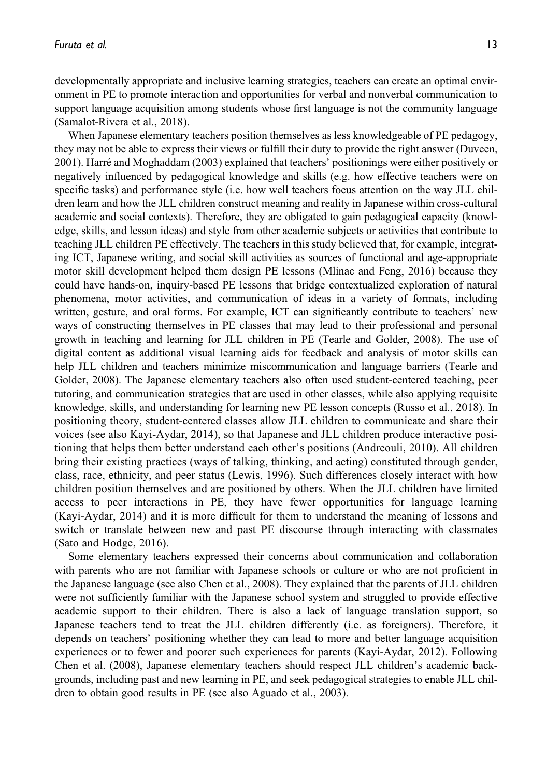developmentally appropriate and inclusive learning strategies, teachers can create an optimal environment in PE to promote interaction and opportunities for verbal and nonverbal communication to support language acquisition among students whose first language is not the community language (Samalot-Rivera et al., 2018).

When Japanese elementary teachers position themselves as less knowledgeable of PE pedagogy, they may not be able to express their views or fulfill their duty to provide the right answer (Duveen, 2001). Harré and Moghaddam (2003) explained that teachers' positionings were either positively or negatively influenced by pedagogical knowledge and skills (e.g. how effective teachers were on specific tasks) and performance style (i.e. how well teachers focus attention on the way JLL children learn and how the JLL children construct meaning and reality in Japanese within cross-cultural academic and social contexts). Therefore, they are obligated to gain pedagogical capacity (knowledge, skills, and lesson ideas) and style from other academic subjects or activities that contribute to teaching JLL children PE effectively. The teachers in this study believed that, for example, integrating ICT, Japanese writing, and social skill activities as sources of functional and age-appropriate motor skill development helped them design PE lessons (Mlinac and Feng, 2016) because they could have hands-on, inquiry-based PE lessons that bridge contextualized exploration of natural phenomena, motor activities, and communication of ideas in a variety of formats, including written, gesture, and oral forms. For example, ICT can significantly contribute to teachers' new ways of constructing themselves in PE classes that may lead to their professional and personal growth in teaching and learning for JLL children in PE (Tearle and Golder, 2008). The use of digital content as additional visual learning aids for feedback and analysis of motor skills can help JLL children and teachers minimize miscommunication and language barriers (Tearle and Golder, 2008). The Japanese elementary teachers also often used student-centered teaching, peer tutoring, and communication strategies that are used in other classes, while also applying requisite knowledge, skills, and understanding for learning new PE lesson concepts (Russo et al., 2018). In positioning theory, student-centered classes allow JLL children to communicate and share their voices (see also Kayi-Aydar, 2014), so that Japanese and JLL children produce interactive positioning that helps them better understand each other's positions (Andreouli, 2010). All children bring their existing practices (ways of talking, thinking, and acting) constituted through gender, class, race, ethnicity, and peer status (Lewis, 1996). Such differences closely interact with how children position themselves and are positioned by others. When the JLL children have limited access to peer interactions in PE, they have fewer opportunities for language learning (Kayi-Aydar, 2014) and it is more difficult for them to understand the meaning of lessons and switch or translate between new and past PE discourse through interacting with classmates (Sato and Hodge, 2016).

Some elementary teachers expressed their concerns about communication and collaboration with parents who are not familiar with Japanese schools or culture or who are not proficient in the Japanese language (see also Chen et al., 2008). They explained that the parents of JLL children were not sufficiently familiar with the Japanese school system and struggled to provide effective academic support to their children. There is also a lack of language translation support, so Japanese teachers tend to treat the JLL children differently (i.e. as foreigners). Therefore, it depends on teachers' positioning whether they can lead to more and better language acquisition experiences or to fewer and poorer such experiences for parents (Kayi-Aydar, 2012). Following Chen et al. (2008), Japanese elementary teachers should respect JLL children's academic backgrounds, including past and new learning in PE, and seek pedagogical strategies to enable JLL children to obtain good results in PE (see also Aguado et al., 2003).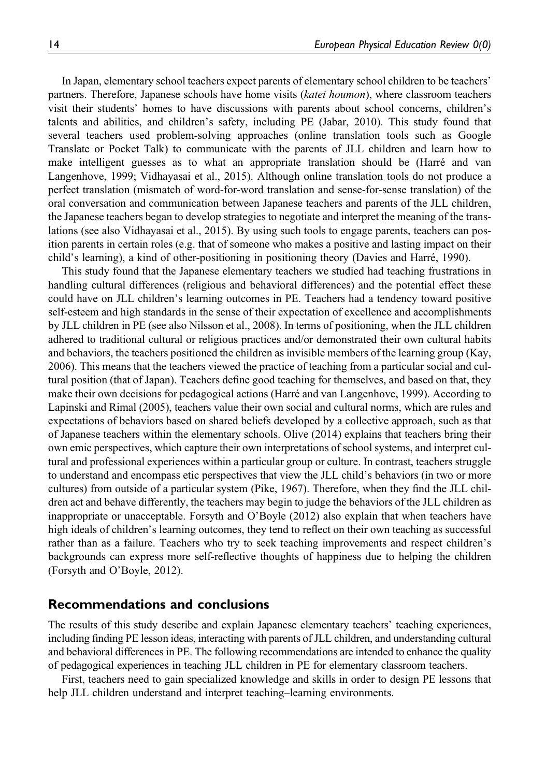In Japan, elementary school teachers expect parents of elementary school children to be teachers' partners. Therefore, Japanese schools have home visits (katei houmon), where classroom teachers visit their students' homes to have discussions with parents about school concerns, children's talents and abilities, and children's safety, including PE (Jabar, 2010). This study found that several teachers used problem-solving approaches (online translation tools such as Google Translate or Pocket Talk) to communicate with the parents of JLL children and learn how to make intelligent guesses as to what an appropriate translation should be (Harré and van Langenhove, 1999; Vidhayasai et al., 2015). Although online translation tools do not produce a perfect translation (mismatch of word-for-word translation and sense-for-sense translation) of the oral conversation and communication between Japanese teachers and parents of the JLL children, the Japanese teachers began to develop strategies to negotiate and interpret the meaning of the translations (see also Vidhayasai et al., 2015). By using such tools to engage parents, teachers can position parents in certain roles (e.g. that of someone who makes a positive and lasting impact on their child's learning), a kind of other-positioning in positioning theory (Davies and Harré, 1990).

This study found that the Japanese elementary teachers we studied had teaching frustrations in handling cultural differences (religious and behavioral differences) and the potential effect these could have on JLL children's learning outcomes in PE. Teachers had a tendency toward positive self-esteem and high standards in the sense of their expectation of excellence and accomplishments by JLL children in PE (see also Nilsson et al., 2008). In terms of positioning, when the JLL children adhered to traditional cultural or religious practices and/or demonstrated their own cultural habits and behaviors, the teachers positioned the children as invisible members of the learning group (Kay, 2006). This means that the teachers viewed the practice of teaching from a particular social and cultural position (that of Japan). Teachers define good teaching for themselves, and based on that, they make their own decisions for pedagogical actions (Harré and van Langenhove, 1999). According to Lapinski and Rimal (2005), teachers value their own social and cultural norms, which are rules and expectations of behaviors based on shared beliefs developed by a collective approach, such as that of Japanese teachers within the elementary schools. Olive (2014) explains that teachers bring their own emic perspectives, which capture their own interpretations of school systems, and interpret cultural and professional experiences within a particular group or culture. In contrast, teachers struggle to understand and encompass etic perspectives that view the JLL child's behaviors (in two or more cultures) from outside of a particular system (Pike, 1967). Therefore, when they find the JLL children act and behave differently, the teachers may begin to judge the behaviors of the JLL children as inappropriate or unacceptable. Forsyth and O'Boyle (2012) also explain that when teachers have high ideals of children's learning outcomes, they tend to reflect on their own teaching as successful rather than as a failure. Teachers who try to seek teaching improvements and respect children's backgrounds can express more self-reflective thoughts of happiness due to helping the children (Forsyth and O'Boyle, 2012).

## Recommendations and conclusions

The results of this study describe and explain Japanese elementary teachers' teaching experiences, including finding PE lesson ideas, interacting with parents of JLL children, and understanding cultural and behavioral differences in PE. The following recommendations are intended to enhance the quality of pedagogical experiences in teaching JLL children in PE for elementary classroom teachers.

First, teachers need to gain specialized knowledge and skills in order to design PE lessons that help JLL children understand and interpret teaching–learning environments.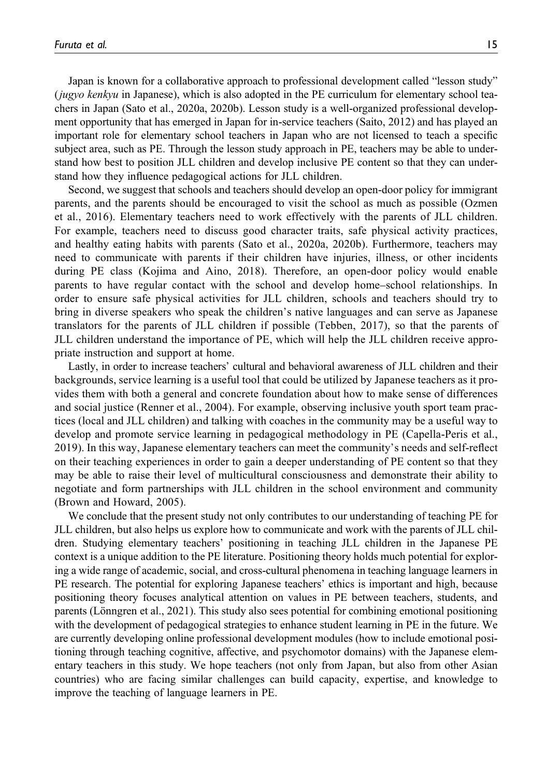Japan is known for a collaborative approach to professional development called "lesson study" (jugyo kenkyu in Japanese), which is also adopted in the PE curriculum for elementary school teachers in Japan (Sato et al., 2020a, 2020b). Lesson study is a well-organized professional development opportunity that has emerged in Japan for in-service teachers (Saito, 2012) and has played an important role for elementary school teachers in Japan who are not licensed to teach a specific subject area, such as PE. Through the lesson study approach in PE, teachers may be able to understand how best to position JLL children and develop inclusive PE content so that they can understand how they influence pedagogical actions for JLL children.

Second, we suggest that schools and teachers should develop an open-door policy for immigrant parents, and the parents should be encouraged to visit the school as much as possible (Ozmen et al., 2016). Elementary teachers need to work effectively with the parents of JLL children. For example, teachers need to discuss good character traits, safe physical activity practices, and healthy eating habits with parents (Sato et al., 2020a, 2020b). Furthermore, teachers may need to communicate with parents if their children have injuries, illness, or other incidents during PE class (Kojima and Aino, 2018). Therefore, an open-door policy would enable parents to have regular contact with the school and develop home–school relationships. In order to ensure safe physical activities for JLL children, schools and teachers should try to bring in diverse speakers who speak the children's native languages and can serve as Japanese translators for the parents of JLL children if possible (Tebben, 2017), so that the parents of JLL children understand the importance of PE, which will help the JLL children receive appropriate instruction and support at home.

Lastly, in order to increase teachers' cultural and behavioral awareness of JLL children and their backgrounds, service learning is a useful tool that could be utilized by Japanese teachers as it provides them with both a general and concrete foundation about how to make sense of differences and social justice (Renner et al., 2004). For example, observing inclusive youth sport team practices (local and JLL children) and talking with coaches in the community may be a useful way to develop and promote service learning in pedagogical methodology in PE (Capella-Peris et al., 2019). In this way, Japanese elementary teachers can meet the community's needs and self-reflect on their teaching experiences in order to gain a deeper understanding of PE content so that they may be able to raise their level of multicultural consciousness and demonstrate their ability to negotiate and form partnerships with JLL children in the school environment and community (Brown and Howard, 2005).

We conclude that the present study not only contributes to our understanding of teaching PE for JLL children, but also helps us explore how to communicate and work with the parents of JLL children. Studying elementary teachers' positioning in teaching JLL children in the Japanese PE context is a unique addition to the PE literature. Positioning theory holds much potential for exploring a wide range of academic, social, and cross-cultural phenomena in teaching language learners in PE research. The potential for exploring Japanese teachers' ethics is important and high, because positioning theory focuses analytical attention on values in PE between teachers, students, and parents (Lönngren et al., 2021). This study also sees potential for combining emotional positioning with the development of pedagogical strategies to enhance student learning in PE in the future. We are currently developing online professional development modules (how to include emotional positioning through teaching cognitive, affective, and psychomotor domains) with the Japanese elementary teachers in this study. We hope teachers (not only from Japan, but also from other Asian countries) who are facing similar challenges can build capacity, expertise, and knowledge to improve the teaching of language learners in PE.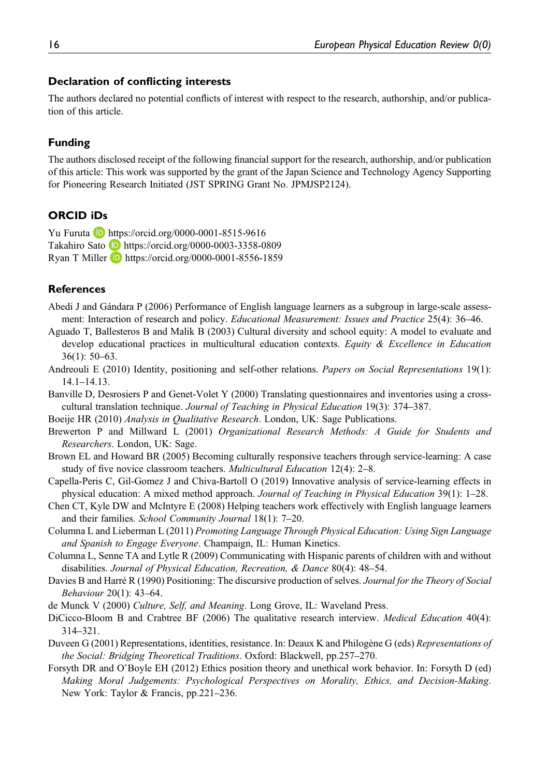#### Declaration of conflicting interests

The authors declared no potential conflicts of interest with respect to the research, authorship, and/or publication of this article.

## Funding

The authors disclosed receipt of the following financial support for the research, authorship, and/or publication of this article: This work was supported by the grant of the Japan Science and Technology Agency Supporting for Pioneering Research Initiated (JST SPRING Grant No. JPMJSP2124).

## ORCID iDs

Yu Furuta **b** <https://orcid.org/0000-0001-8515-9616> Takahiro Sato <https://orcid.org/0000-0003-3358-0809> Ryan T Miller **b** <https://orcid.org/0000-0001-8556-1859>

### References

Abedi J and Gándara P (2006) Performance of English language learners as a subgroup in large-scale assessment: Interaction of research and policy. *Educational Measurement: Issues and Practice* 25(4): 36–46.

- Aguado T, Ballesteros B and Malik B (2003) Cultural diversity and school equity: A model to evaluate and develop educational practices in multicultural education contexts. Equity  $\&$  Excellence in Education 36(1): 50–63.
- Andreouli E (2010) Identity, positioning and self-other relations. Papers on Social Representations 19(1): 14.1–14.13.
- Banville D, Desrosiers P and Genet-Volet Y (2000) Translating questionnaires and inventories using a crosscultural translation technique. Journal of Teaching in Physical Education 19(3): 374–387.
- Boeije HR (2010) *Analysis in Qualitative Research*. London, UK: Sage Publications.
- Brewerton P and Millward L (2001) Organizational Research Methods: A Guide for Students and Researchers. London, UK: Sage.
- Brown EL and Howard BR (2005) Becoming culturally responsive teachers through service-learning: A case study of five novice classroom teachers. Multicultural Education 12(4): 2–8.
- Capella-Peris C, Gil-Gomez J and Chiva-Bartoll O (2019) Innovative analysis of service-learning effects in physical education: A mixed method approach. Journal of Teaching in Physical Education 39(1): 1–28.
- Chen CT, Kyle DW and McIntyre E (2008) Helping teachers work effectively with English language learners and their families. School Community Journal 18(1): 7–20.
- Columna L and Lieberman L (2011) Promoting Language Through Physical Education: Using Sign Language and Spanish to Engage Everyone. Champaign, IL: Human Kinetics.
- Columna L, Senne TA and Lytle R (2009) Communicating with Hispanic parents of children with and without disabilities. Journal of Physical Education, Recreation, & Dance 80(4): 48–54.
- Davies B and Harré R (1990) Positioning: The discursive production of selves. Journal for the Theory of Social Behaviour 20(1): 43–64.
- de Munck V (2000) Culture, Self, and Meaning. Long Grove, IL: Waveland Press.
- DiCicco-Bloom B and Crabtree BF (2006) The qualitative research interview. *Medical Education* 40(4): 314–321.
- Duveen G (2001) Representations, identities, resistance. In: Deaux K and Philogène G (eds) Representations of the Social: Bridging Theoretical Traditions. Oxford: Blackwell, pp.257–270.
- Forsyth DR and O'Boyle EH (2012) Ethics position theory and unethical work behavior. In: Forsyth D (ed) Making Moral Judgements: Psychological Perspectives on Morality, Ethics, and Decision-Making. New York: Taylor & Francis, pp.221–236.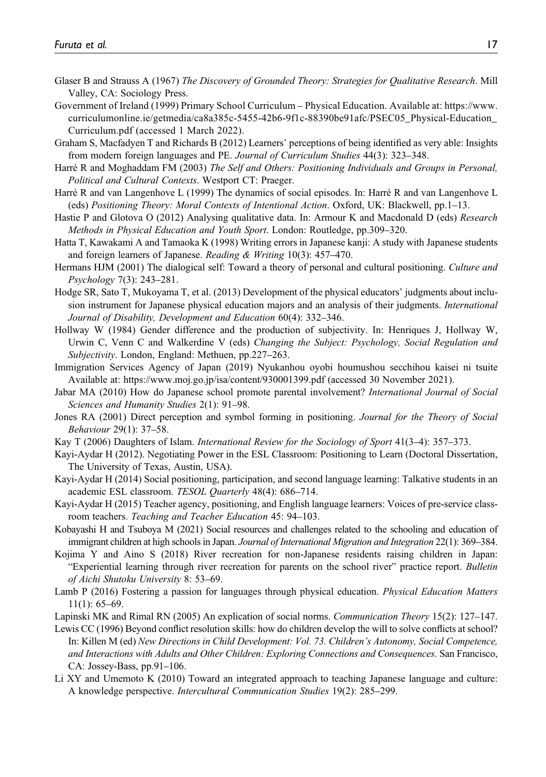- Glaser B and Strauss A (1967) The Discovery of Grounded Theory: Strategies for Qualitative Research. Mill Valley, CA: Sociology Press.
- Government of Ireland (1999) Primary School Curriculum Physical Education. Available at: [https://www.](https://www.curriculumonline.ie/getmedia/ca8a385c-5455-42b6-9f1c-88390be91afc/PSEC05_Physical-Education_Curriculum.pdf) [curriculumonline.ie/getmedia/ca8a385c-5455-42b6-9f1c-88390be91afc/PSEC05\\_Physical-Education\\_](https://www.curriculumonline.ie/getmedia/ca8a385c-5455-42b6-9f1c-88390be91afc/PSEC05_Physical-Education_Curriculum.pdf) [Curriculum.pdf](https://www.curriculumonline.ie/getmedia/ca8a385c-5455-42b6-9f1c-88390be91afc/PSEC05_Physical-Education_Curriculum.pdf) (accessed 1 March 2022).
- Graham S, Macfadyen T and Richards B (2012) Learners' perceptions of being identified as very able: Insights from modern foreign languages and PE. Journal of Curriculum Studies 44(3): 323–348.
- Harré R and Moghaddam FM (2003) The Self and Others: Positioning Individuals and Groups in Personal, Political and Cultural Contexts. Westport CT: Praeger.
- Harré R and van Langenhove L (1999) The dynamics of social episodes. In: Harré R and van Langenhove L (eds) Positioning Theory: Moral Contexts of Intentional Action. Oxford, UK: Blackwell, pp.1–13.
- Hastie P and Glotova O (2012) Analysing qualitative data. In: Armour K and Macdonald D (eds) Research Methods in Physical Education and Youth Sport. London: Routledge, pp.309–320.
- Hatta T, Kawakami A and Tamaoka K (1998) Writing errors in Japanese kanji: A study with Japanese students and foreign learners of Japanese. Reading & Writing 10(3): 457–470.
- Hermans HJM (2001) The dialogical self: Toward a theory of personal and cultural positioning. Culture and Psychology 7(3): 243–281.
- Hodge SR, Sato T, Mukoyama T, et al. (2013) Development of the physical educators' judgments about inclusion instrument for Japanese physical education majors and an analysis of their judgments. *International* Journal of Disability, Development and Education 60(4): 332–346.
- Hollway W (1984) Gender difference and the production of subjectivity. In: Henriques J, Hollway W, Urwin C, Venn C and Walkerdine V (eds) Changing the Subject: Psychology, Social Regulation and Subjectivity. London, England: Methuen, pp.227–263.
- Immigration Services Agency of Japan (2019) Nyukanhou oyobi houmushou secchihou kaisei ni tsuite Available at:<https://www.moj.go.jp/isa/content/930001399.pdf> (accessed 30 November 2021).
- Jabar MA (2010) How do Japanese school promote parental involvement? International Journal of Social Sciences and Humanity Studies 2(1): 91–98.
- Jones RA (2001) Direct perception and symbol forming in positioning. Journal for the Theory of Social Behaviour 29(1): 37–58.
- Kay T (2006) Daughters of Islam. International Review for the Sociology of Sport 41(3–4): 357–373.
- Kayi-Aydar H (2012). Negotiating Power in the ESL Classroom: Positioning to Learn (Doctoral Dissertation, The University of Texas, Austin, USA).
- Kayi-Aydar H (2014) Social positioning, participation, and second language learning: Talkative students in an academic ESL classroom. TESOL Quarterly 48(4): 686–714.
- Kayi-Aydar H (2015) Teacher agency, positioning, and English language learners: Voices of pre-service classroom teachers. Teaching and Teacher Education 45: 94–103.
- Kobayashi H and Tsuboya M (2021) Social resources and challenges related to the schooling and education of immigrant children at high schools in Japan. Journal of International Migration and Integration 22(1): 369–384.
- Kojima Y and Aino S (2018) River recreation for non-Japanese residents raising children in Japan: "Experiential learning through river recreation for parents on the school river" practice report. Bulletin of Aichi Shutoku University 8: 53–69.
- Lamb P (2016) Fostering a passion for languages through physical education. *Physical Education Matters* 11(1): 65–69.
- Lapinski MK and Rimal RN (2005) An explication of social norms. Communication Theory 15(2): 127–147.
- Lewis CC (1996) Beyond conflict resolution skills: how do children develop the will to solve conflicts at school? In: Killen M (ed) New Directions in Child Development: Vol. 73. Children's Autonomy, Social Competence, and Interactions with Adults and Other Children: Exploring Connections and Consequences. San Francisco, CA: Jossey-Bass, pp.91–106.
- Li XY and Umemoto K (2010) Toward an integrated approach to teaching Japanese language and culture: A knowledge perspective. Intercultural Communication Studies 19(2): 285–299.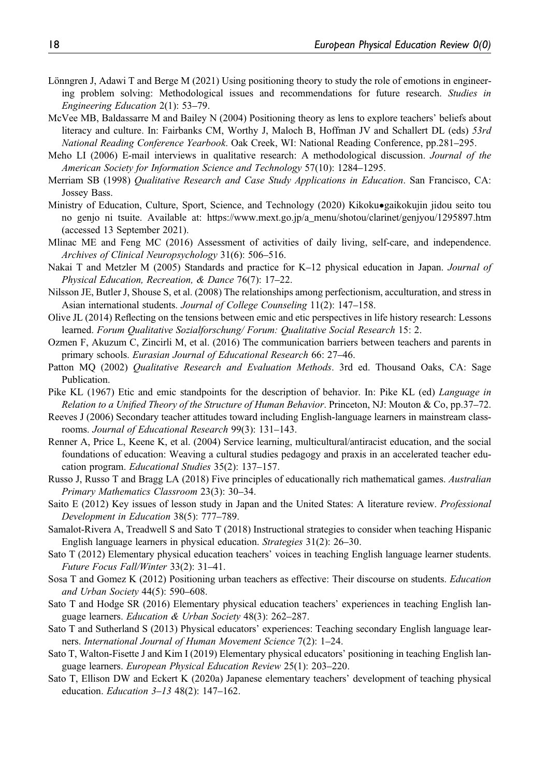- Lönngren J, Adawi T and Berge M (2021) Using positioning theory to study the role of emotions in engineering problem solving: Methodological issues and recommendations for future research. Studies in Engineering Education 2(1): 53–79.
- McVee MB, Baldassarre M and Bailey N (2004) Positioning theory as lens to explore teachers' beliefs about literacy and culture. In: Fairbanks CM, Worthy J, Maloch B, Hoffman JV and Schallert DL (eds) 53rd National Reading Conference Yearbook. Oak Creek, WI: National Reading Conference, pp.281–295.
- Meho LI (2006) E-mail interviews in qualitative research: A methodological discussion. *Journal of the* American Society for Information Science and Technology 57(10): 1284–1295.
- Merriam SB (1998) Qualitative Research and Case Study Applications in Education. San Francisco, CA: Jossey Bass.
- Ministry of Education, Culture, Sport, Science, and Technology (2020) Kikoku•gaikokujin jidou seito tou no genjo ni tsuite. Available at: [https://www.mext.go.jp/a\\_menu/shotou/clarinet/genjyou/1295897.htm](https://www.mext.go.jp/a_menu/shotou/clarinet/genjyou/1295897.htm) (accessed 13 September 2021).
- Mlinac ME and Feng MC (2016) Assessment of activities of daily living, self-care, and independence. Archives of Clinical Neuropsychology 31(6): 506–516.
- Nakai T and Metzler M (2005) Standards and practice for K–12 physical education in Japan. Journal of Physical Education, Recreation, & Dance 76(7): 17–22.
- Nilsson JE, Butler J, Shouse S, et al. (2008) The relationships among perfectionism, acculturation, and stress in Asian international students. Journal of College Counseling 11(2): 147–158.
- Olive JL (2014) Reflecting on the tensions between emic and etic perspectives in life history research: Lessons learned. Forum Qualitative Sozialforschung/ Forum: Qualitative Social Research 15: 2.
- Ozmen F, Akuzum C, Zincirli M, et al. (2016) The communication barriers between teachers and parents in primary schools. Eurasian Journal of Educational Research 66: 27–46.
- Patton MO (2002) *Qualitative Research and Evaluation Methods*. 3rd ed. Thousand Oaks, CA: Sage Publication.
- Pike KL (1967) Etic and emic standpoints for the description of behavior. In: Pike KL (ed) Language in Relation to a Unified Theory of the Structure of Human Behavior. Princeton, NJ: Mouton & Co, pp.37–72.
- Reeves J (2006) Secondary teacher attitudes toward including English-language learners in mainstream classrooms. Journal of Educational Research 99(3): 131–143.
- Renner A, Price L, Keene K, et al. (2004) Service learning, multicultural/antiracist education, and the social foundations of education: Weaving a cultural studies pedagogy and praxis in an accelerated teacher education program. Educational Studies 35(2): 137–157.
- Russo J, Russo T and Bragg LA (2018) Five principles of educationally rich mathematical games. Australian Primary Mathematics Classroom 23(3): 30–34.
- Saito E (2012) Key issues of lesson study in Japan and the United States: A literature review. Professional Development in Education 38(5): 777–789.
- Samalot-Rivera A, Treadwell S and Sato T (2018) Instructional strategies to consider when teaching Hispanic English language learners in physical education. Strategies 31(2): 26–30.
- Sato T (2012) Elementary physical education teachers' voices in teaching English language learner students. Future Focus Fall/Winter 33(2): 31–41.
- Sosa T and Gomez K (2012) Positioning urban teachers as effective: Their discourse on students. Education and Urban Society 44(5): 590–608.
- Sato T and Hodge SR (2016) Elementary physical education teachers' experiences in teaching English language learners. Education & Urban Society 48(3): 262–287.
- Sato T and Sutherland S (2013) Physical educators' experiences: Teaching secondary English language learners. International Journal of Human Movement Science 7(2): 1–24.
- Sato T, Walton-Fisette J and Kim I (2019) Elementary physical educators' positioning in teaching English language learners. European Physical Education Review 25(1): 203–220.
- Sato T, Ellison DW and Eckert K (2020a) Japanese elementary teachers' development of teaching physical education. Education 3–13 48(2): 147–162.